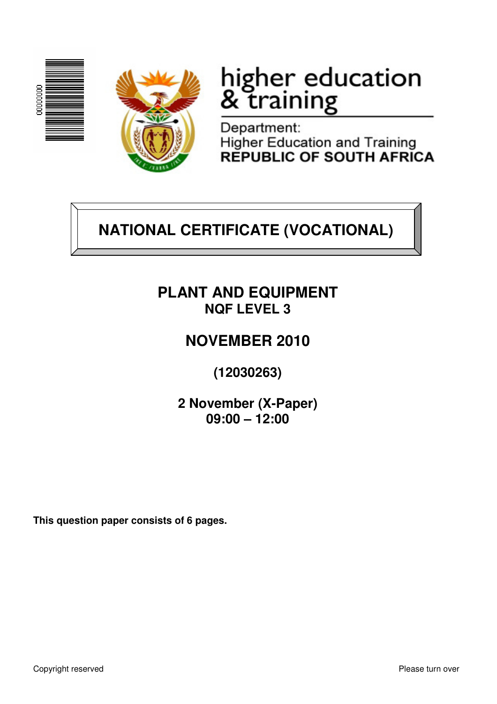



# higher education<br>& training

Department: Higher Education and Training<br>REPUBLIC OF SOUTH AFRICA

## **NATIONAL CERTIFICATE (VOCATIONAL)**

## **PLANT AND EQUIPMENT NQF LEVEL 3**

## **NOVEMBER 2010**

**(12030263)** 

**2 November (X-Paper) 09:00 – 12:00**

**This question paper consists of 6 pages.**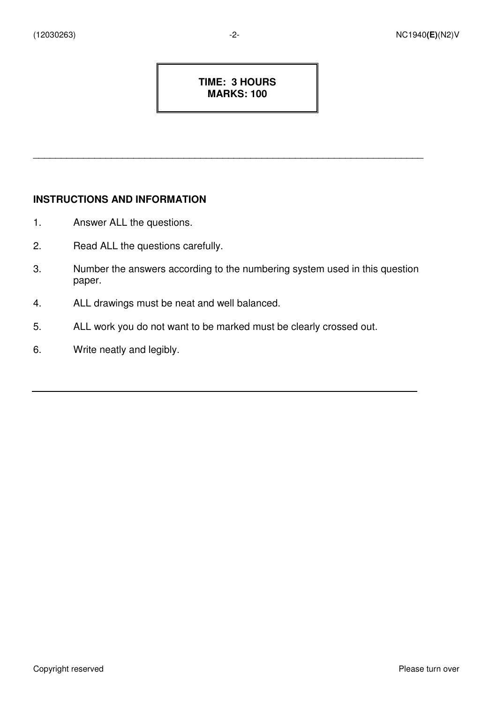#### **TIME: 3 HOURS MARKS: 100**

\_\_\_\_\_\_\_\_\_\_\_\_\_\_\_\_\_\_\_\_\_\_\_\_\_\_\_\_\_\_\_\_\_\_\_\_\_\_\_\_\_\_\_\_\_\_\_\_\_\_\_\_\_\_\_\_\_\_\_\_\_\_\_\_\_\_\_\_\_\_

#### **INSTRUCTIONS AND INFORMATION**

- 1. Answer ALL the questions.
- 2. Read ALL the questions carefully.
- 3. Number the answers according to the numbering system used in this question paper.
- 4. ALL drawings must be neat and well balanced.
- 5. ALL work you do not want to be marked must be clearly crossed out.
- 6. Write neatly and legibly.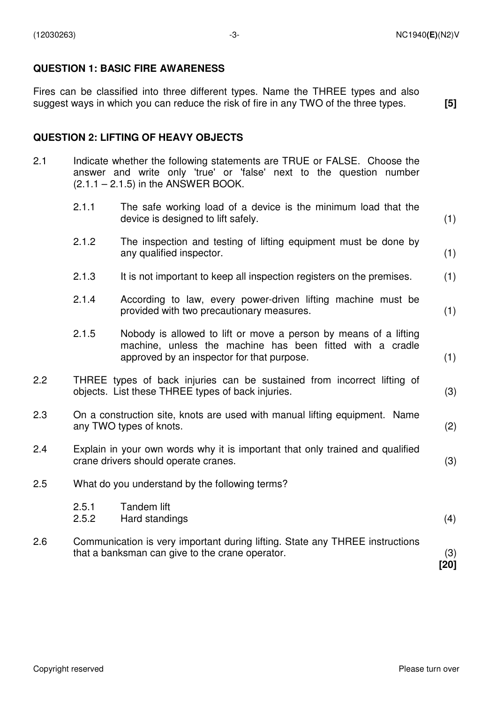#### **QUESTION 1: BASIC FIRE AWARENESS**

Fires can be classified into three different types. Name the THREE types and also suggest ways in which you can reduce the risk of fire in any TWO of the three types.

 **[5]** 

#### **QUESTION 2: LIFTING OF HEAVY OBJECTS**

- 2.1 Indicate whether the following statements are TRUE or FALSE. Choose the answer and write only 'true' or 'false' next to the question number  $(2.1.1 - 2.1.5)$  in the ANSWER BOOK.
	- 2.1.1 The safe working load of a device is the minimum load that the device is designed to lift safely. (1) 2.1.2 The inspection and testing of lifting equipment must be done by any qualified inspector. (1) 2.1.3 It is not important to keep all inspection registers on the premises. (1) 2.1.4 According to law, every power-driven lifting machine must be provided with two precautionary measures. (1) 2.1.5 Nobody is allowed to lift or move a person by means of a lifting machine, unless the machine has been fitted with a cradle

approved by an inspector for that purpose. (1)

- 2.2 THREE types of back injuries can be sustained from incorrect lifting of objects. List these THREE types of back injuries. (3)
- 2.3 On a construction site, knots are used with manual lifting equipment. Name any TWO types of knots. (2)
- 2.4 Explain in your own words why it is important that only trained and qualified crane drivers should operate cranes. (3)
- 2.5 What do you understand by the following terms?

that a banksman can give to the crane operator.

- 2.5.1 Tandem lift
- 2.5.2 Hard standings (4) 2.6 Communication is very important during lifting. State any THREE instructions
	- (3) **[20]**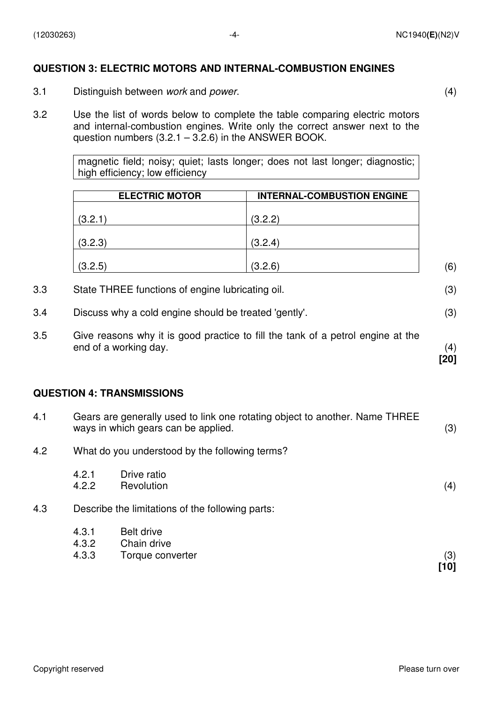#### **QUESTION 3: ELECTRIC MOTORS AND INTERNAL-COMBUSTION ENGINES**

- 3.1 Distinguish between work and power. (4)
	-

**[20]** 

3.2 Use the list of words below to complete the table comparing electric motors and internal-combustion engines. Write only the correct answer next to the question numbers  $(3.2.1 - 3.2.6)$  in the ANSWER BOOK.

> magnetic field; noisy; quiet; lasts longer; does not last longer; diagnostic; high efficiency; low efficiency

| <b>ELECTRIC MOTOR</b> | <b>INTERNAL-COMBUSTION ENGINE</b> |     |
|-----------------------|-----------------------------------|-----|
| (3.2.1)               | (3.2.2)                           |     |
| (3.2.3)               | (3.2.4)                           |     |
| (3.2.5)               | (3.2.6)                           | (6) |

- 3.3 State THREE functions of engine lubricating oil. (3)
- 3.4 Discuss why a cold engine should be treated 'gently'. (3)
- 3.5 Give reasons why it is good practice to fill the tank of a petrol engine at the end of a working day. (4)

#### **QUESTION 4: TRANSMISSIONS**

| 4.1 |                         | Gears are generally used to link one rotating object to another. Name THREE<br>ways in which gears can be applied. |             |  |
|-----|-------------------------|--------------------------------------------------------------------------------------------------------------------|-------------|--|
| 4.2 |                         | What do you understood by the following terms?                                                                     |             |  |
|     | 4.2.1<br>4.2.2          | Drive ratio<br>Revolution                                                                                          | (4)         |  |
| 4.3 |                         | Describe the limitations of the following parts:                                                                   |             |  |
|     | 4.3.1<br>4.3.2<br>4.3.3 | <b>Belt drive</b><br>Chain drive<br>Torque converter                                                               | (3)<br>[10] |  |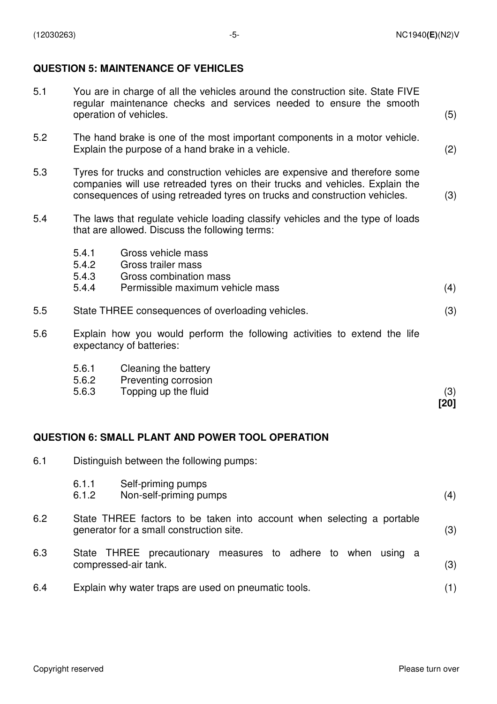#### **QUESTION 5: MAINTENANCE OF VEHICLES**

| 5.1 | You are in charge of all the vehicles around the construction site. State FIVE<br>regular maintenance checks and services needed to ensure the smooth<br>operation of vehicles.                                                           |                                                                                                                    |      |
|-----|-------------------------------------------------------------------------------------------------------------------------------------------------------------------------------------------------------------------------------------------|--------------------------------------------------------------------------------------------------------------------|------|
| 5.2 | The hand brake is one of the most important components in a motor vehicle.<br>Explain the purpose of a hand brake in a vehicle.                                                                                                           |                                                                                                                    |      |
| 5.3 | Tyres for trucks and construction vehicles are expensive and therefore some<br>companies will use retreaded tyres on their trucks and vehicles. Explain the<br>consequences of using retreaded tyres on trucks and construction vehicles. |                                                                                                                    |      |
| 5.4 | The laws that regulate vehicle loading classify vehicles and the type of loads<br>that are allowed. Discuss the following terms:                                                                                                          |                                                                                                                    |      |
|     | 5.4.1<br>5.4.2                                                                                                                                                                                                                            | Gross vehicle mass<br>Gross trailer mass                                                                           |      |
|     | 5.4.3<br>5.4.4                                                                                                                                                                                                                            | Gross combination mass<br>Permissible maximum vehicle mass                                                         | (4)  |
|     |                                                                                                                                                                                                                                           |                                                                                                                    |      |
| 5.5 |                                                                                                                                                                                                                                           | State THREE consequences of overloading vehicles.                                                                  | (3)  |
| 5.6 | Explain how you would perform the following activities to extend the life<br>expectancy of batteries:                                                                                                                                     |                                                                                                                    |      |
|     | 5.6.1                                                                                                                                                                                                                                     | Cleaning the battery                                                                                               |      |
|     | 5.6.2<br>5.6.3                                                                                                                                                                                                                            | Preventing corrosion<br>Topping up the fluid                                                                       | (3)  |
|     |                                                                                                                                                                                                                                           |                                                                                                                    | [20] |
|     |                                                                                                                                                                                                                                           |                                                                                                                    |      |
|     |                                                                                                                                                                                                                                           | <b>QUESTION 6: SMALL PLANT AND POWER TOOL OPERATION</b>                                                            |      |
| 6.1 | Distinguish between the following pumps:                                                                                                                                                                                                  |                                                                                                                    |      |
|     | 6.1.1<br>6.1.2                                                                                                                                                                                                                            | Self-priming pumps<br>Non-self-priming pumps                                                                       | (4)  |
| 6.2 |                                                                                                                                                                                                                                           | State THREE factors to be taken into account when selecting a portable<br>generator for a small construction site. | (3)  |

- 6.3 State THREE precautionary measures to adhere to when using a compressed-air tank. (3)
- 6.4 Explain why water traps are used on pneumatic tools. (1)